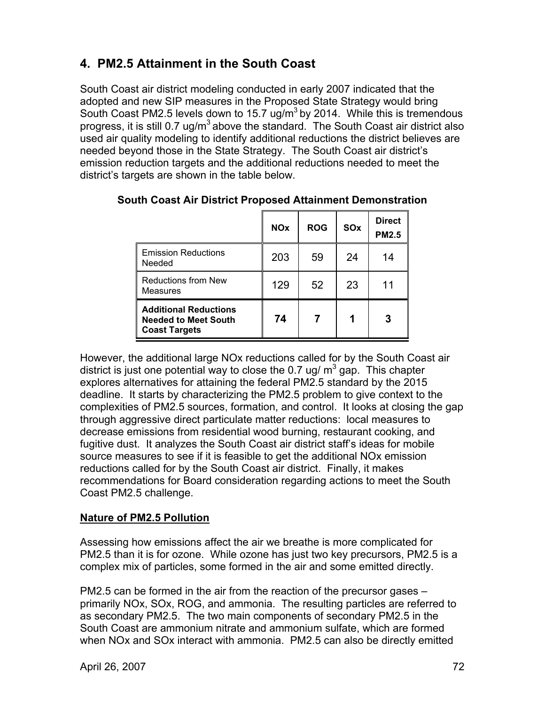# **4. PM2.5 Attainment in the South Coast**

South Coast air district modeling conducted in early 2007 indicated that the adopted and new SIP measures in the Proposed State Strategy would bring South Coast PM2.5 levels down to 15.7 ug/m<sup>3</sup> by 2014. While this is tremendous progress, it is still 0.7 ug/m<sup>3</sup> above the standard. The South Coast air district also used air quality modeling to identify additional reductions the district believes are needed beyond those in the State Strategy. The South Coast air district's emission reduction targets and the additional reductions needed to meet the district's targets are shown in the table below.

|                                                                                     | <b>NO<sub>x</sub></b> | <b>ROG</b> | <b>SO<sub>x</sub></b> | <b>Direct</b><br><b>PM2.5</b> |
|-------------------------------------------------------------------------------------|-----------------------|------------|-----------------------|-------------------------------|
| <b>Emission Reductions</b><br>Needed                                                | 203                   | 59         | 24                    | 14                            |
| <b>Reductions from New</b><br><b>Measures</b>                                       | 129                   | 52         | 23                    | 11                            |
| <b>Additional Reductions</b><br><b>Needed to Meet South</b><br><b>Coast Targets</b> | 74                    | 7          |                       | 3                             |

**South Coast Air District Proposed Attainment Demonstration** 

However, the additional large NOx reductions called for by the South Coast air district is just one potential way to close the 0.7 ug/  $\text{m}^3$  gap. This chapter explores alternatives for attaining the federal PM2.5 standard by the 2015 deadline. It starts by characterizing the PM2.5 problem to give context to the complexities of PM2.5 sources, formation, and control. It looks at closing the gap through aggressive direct particulate matter reductions: local measures to decrease emissions from residential wood burning, restaurant cooking, and fugitive dust. It analyzes the South Coast air district staff's ideas for mobile source measures to see if it is feasible to get the additional NOx emission reductions called for by the South Coast air district. Finally, it makes recommendations for Board consideration regarding actions to meet the South Coast PM2.5 challenge.

# **Nature of PM2.5 Pollution**

Assessing how emissions affect the air we breathe is more complicated for PM2.5 than it is for ozone. While ozone has just two key precursors, PM2.5 is a complex mix of particles, some formed in the air and some emitted directly.

PM2.5 can be formed in the air from the reaction of the precursor gases – primarily NOx, SOx, ROG, and ammonia. The resulting particles are referred to as secondary PM2.5. The two main components of secondary PM2.5 in the South Coast are ammonium nitrate and ammonium sulfate, which are formed when NOx and SOx interact with ammonia. PM2.5 can also be directly emitted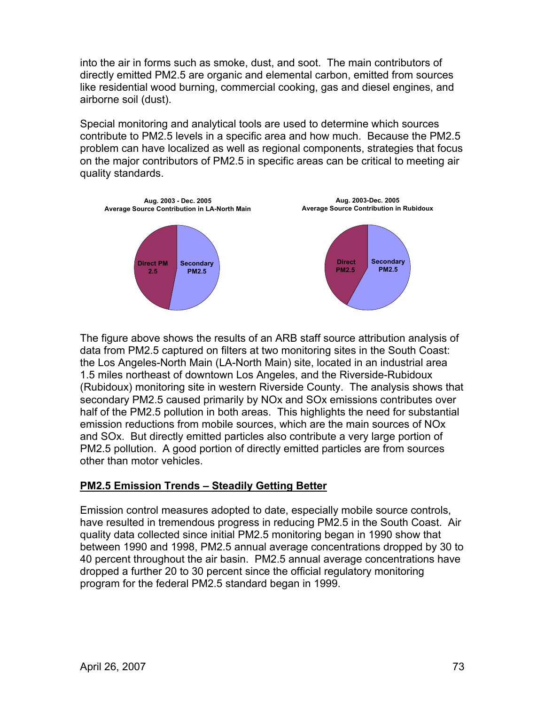into the air in forms such as smoke, dust, and soot. The main contributors of directly emitted PM2.5 are organic and elemental carbon, emitted from sources like residential wood burning, commercial cooking, gas and diesel engines, and airborne soil (dust).

Special monitoring and analytical tools are used to determine which sources contribute to PM2.5 levels in a specific area and how much. Because the PM2.5 problem can have localized as well as regional components, strategies that focus on the major contributors of PM2.5 in specific areas can be critical to meeting air quality standards.



The figure above shows the results of an ARB staff source attribution analysis of data from PM2.5 captured on filters at two monitoring sites in the South Coast: the Los Angeles-North Main (LA-North Main) site, located in an industrial area 1.5 miles northeast of downtown Los Angeles, and the Riverside-Rubidoux (Rubidoux) monitoring site in western Riverside County. The analysis shows that secondary PM2.5 caused primarily by NOx and SOx emissions contributes over half of the PM2.5 pollution in both areas. This highlights the need for substantial emission reductions from mobile sources, which are the main sources of NOx and SOx. But directly emitted particles also contribute a very large portion of PM2.5 pollution. A good portion of directly emitted particles are from sources other than motor vehicles.

# **PM2.5 Emission Trends – Steadily Getting Better**

Emission control measures adopted to date, especially mobile source controls, have resulted in tremendous progress in reducing PM2.5 in the South Coast. Air quality data collected since initial PM2.5 monitoring began in 1990 show that between 1990 and 1998, PM2.5 annual average concentrations dropped by 30 to 40 percent throughout the air basin. PM2.5 annual average concentrations have dropped a further 20 to 30 percent since the official regulatory monitoring program for the federal PM2.5 standard began in 1999.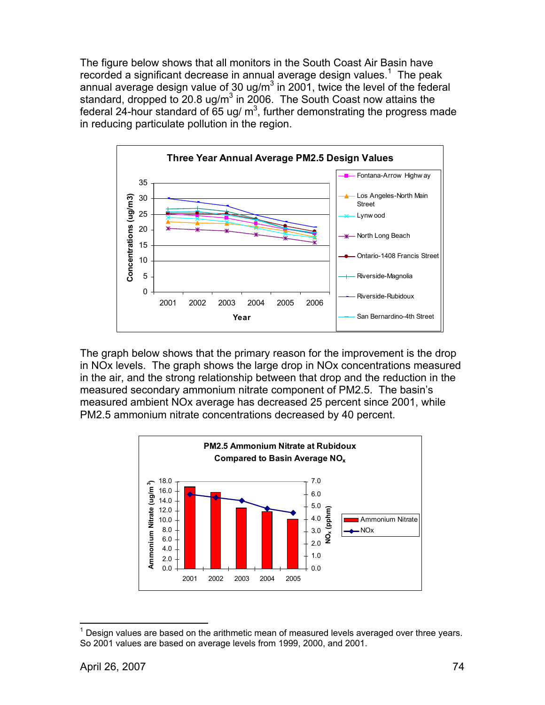The figure below shows that all monitors in the South Coast Air Basin have recorded a significant decrease in annual average design values.<sup>1</sup> The peak annual average design value of 30 ug/m<sup>3</sup> in 2001, twice the level of the federal standard, dropped to 20.8 ug/m<sup>3</sup> in 2006. The South Coast now attains the federal 24-hour standard of 65 ug/  $m^3$ , further demonstrating the progress made in reducing particulate pollution in the region.



The graph below shows that the primary reason for the improvement is the drop in NOx levels. The graph shows the large drop in NOx concentrations measured in the air, and the strong relationship between that drop and the reduction in the measured secondary ammonium nitrate component of PM2.5. The basin's measured ambient NOx average has decreased 25 percent since 2001, while PM2.5 ammonium nitrate concentrations decreased by 40 percent.



 $1$  Design values are based on the arithmetic mean of measured levels averaged over three years. So 2001 values are based on average levels from 1999, 2000, and 2001.

 $\overline{a}$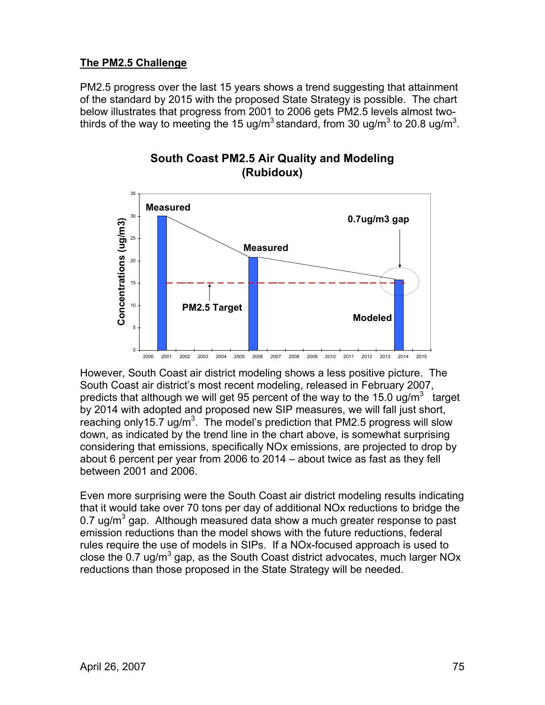# **The PM2.5 Challenge**

PM2.5 progress over the last 15 years shows a trend suggesting that attainment of the standard by 2015 with the proposed State Strategy is possible. The chart below illustrates that progress from 2001 to 2006 gets PM2.5 levels almost twothirds of the way to meeting the 15 ug/m<sup>3</sup> standard, from 30 ug/m<sup>3</sup> to 20.8 ug/m<sup>3</sup>.





However, South Coast air district modeling shows a less positive picture. The South Coast air district's most recent modeling, released in February 2007, predicts that although we will get 95 percent of the way to the 15.0 ug/m<sup>3</sup> target by 2014 with adopted and proposed new SIP measures, we will fall just short, reaching only15.7 ug/m<sup>3</sup>. The model's prediction that PM2.5 progress will slow down, as indicated by the trend line in the chart above, is somewhat surprising considering that emissions, specifically NOx emissions, are projected to drop by about 6 percent per year from 2006 to 2014 – about twice as fast as they fell between 2001 and 2006.

Even more surprising were the South Coast air district modeling results indicating that it would take over 70 tons per day of additional NOx reductions to bridge the 0.7 ug/m<sup>3</sup> gap. Although measured data show a much greater response to past emission reductions than the model shows with the future reductions, federal rules require the use of models in SIPs. If a NOx-focused approach is used to close the 0.7 ug/m<sup>3</sup> gap, as the South Coast district advocates, much larger NOx reductions than those proposed in the State Strategy will be needed.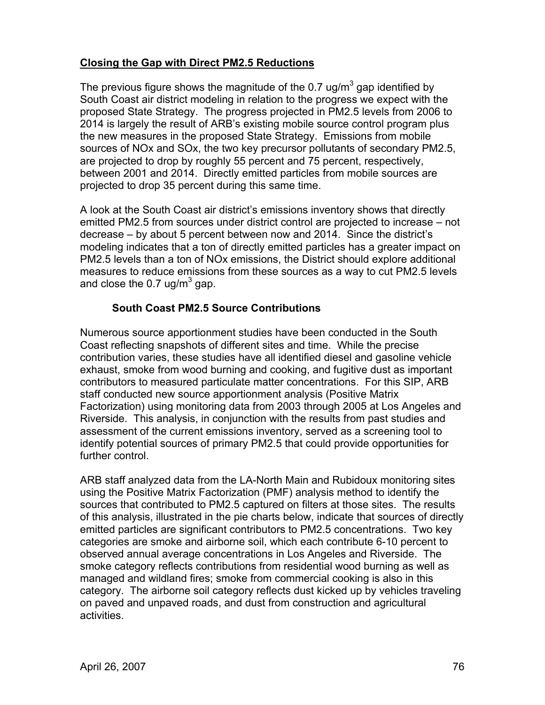# **Closing the Gap with Direct PM2.5 Reductions**

The previous figure shows the magnitude of the 0.7 ug/m<sup>3</sup> gap identified by South Coast air district modeling in relation to the progress we expect with the proposed State Strategy. The progress projected in PM2.5 levels from 2006 to 2014 is largely the result of ARB's existing mobile source control program plus the new measures in the proposed State Strategy. Emissions from mobile sources of NOx and SOx, the two key precursor pollutants of secondary PM2.5, are projected to drop by roughly 55 percent and 75 percent, respectively, between 2001 and 2014. Directly emitted particles from mobile sources are projected to drop 35 percent during this same time.

A look at the South Coast air district's emissions inventory shows that directly emitted PM2.5 from sources under district control are projected to increase – not decrease – by about 5 percent between now and 2014. Since the district's modeling indicates that a ton of directly emitted particles has a greater impact on PM2.5 levels than a ton of NOx emissions, the District should explore additional measures to reduce emissions from these sources as a way to cut PM2.5 levels and close the 0.7 ug/m<sup>3</sup> gap.

# **South Coast PM2.5 Source Contributions**

Numerous source apportionment studies have been conducted in the South Coast reflecting snapshots of different sites and time. While the precise contribution varies, these studies have all identified diesel and gasoline vehicle exhaust, smoke from wood burning and cooking, and fugitive dust as important contributors to measured particulate matter concentrations. For this SIP, ARB staff conducted new source apportionment analysis (Positive Matrix Factorization) using monitoring data from 2003 through 2005 at Los Angeles and Riverside. This analysis, in conjunction with the results from past studies and assessment of the current emissions inventory, served as a screening tool to identify potential sources of primary PM2.5 that could provide opportunities for further control.

ARB staff analyzed data from the LA-North Main and Rubidoux monitoring sites using the Positive Matrix Factorization (PMF) analysis method to identify the sources that contributed to PM2.5 captured on filters at those sites. The results of this analysis, illustrated in the pie charts below, indicate that sources of directly emitted particles are significant contributors to PM2.5 concentrations. Two key categories are smoke and airborne soil, which each contribute 6-10 percent to observed annual average concentrations in Los Angeles and Riverside. The smoke category reflects contributions from residential wood burning as well as managed and wildland fires; smoke from commercial cooking is also in this category. The airborne soil category reflects dust kicked up by vehicles traveling on paved and unpaved roads, and dust from construction and agricultural activities.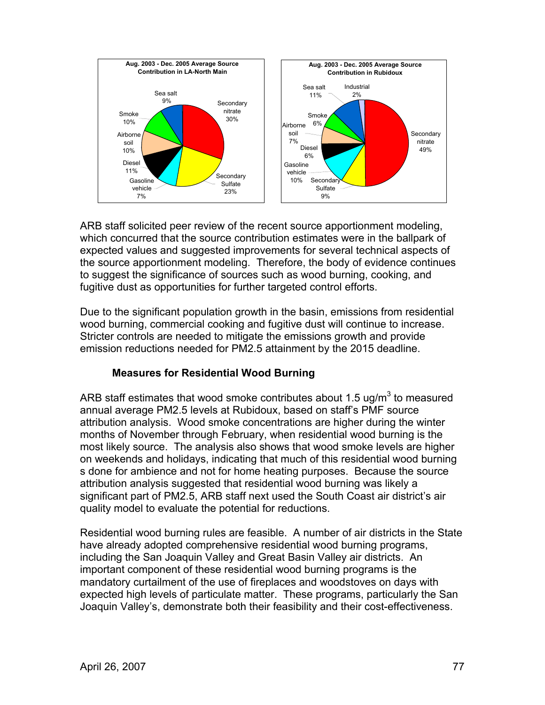

ARB staff solicited peer review of the recent source apportionment modeling, which concurred that the source contribution estimates were in the ballpark of expected values and suggested improvements for several technical aspects of the source apportionment modeling. Therefore, the body of evidence continues to suggest the significance of sources such as wood burning, cooking, and fugitive dust as opportunities for further targeted control efforts.

Due to the significant population growth in the basin, emissions from residential wood burning, commercial cooking and fugitive dust will continue to increase. Stricter controls are needed to mitigate the emissions growth and provide emission reductions needed for PM2.5 attainment by the 2015 deadline.

# **Measures for Residential Wood Burning**

ARB staff estimates that wood smoke contributes about 1.5 ug/m<sup>3</sup> to measured annual average PM2.5 levels at Rubidoux, based on staff's PMF source attribution analysis. Wood smoke concentrations are higher during the winter months of November through February, when residential wood burning is the most likely source. The analysis also shows that wood smoke levels are higher on weekends and holidays, indicating that much of this residential wood burning s done for ambience and not for home heating purposes. Because the source attribution analysis suggested that residential wood burning was likely a significant part of PM2.5, ARB staff next used the South Coast air district's air quality model to evaluate the potential for reductions.

Residential wood burning rules are feasible. A number of air districts in the State have already adopted comprehensive residential wood burning programs, including the San Joaquin Valley and Great Basin Valley air districts. An important component of these residential wood burning programs is the mandatory curtailment of the use of fireplaces and woodstoves on days with expected high levels of particulate matter. These programs, particularly the San Joaquin Valley's, demonstrate both their feasibility and their cost-effectiveness.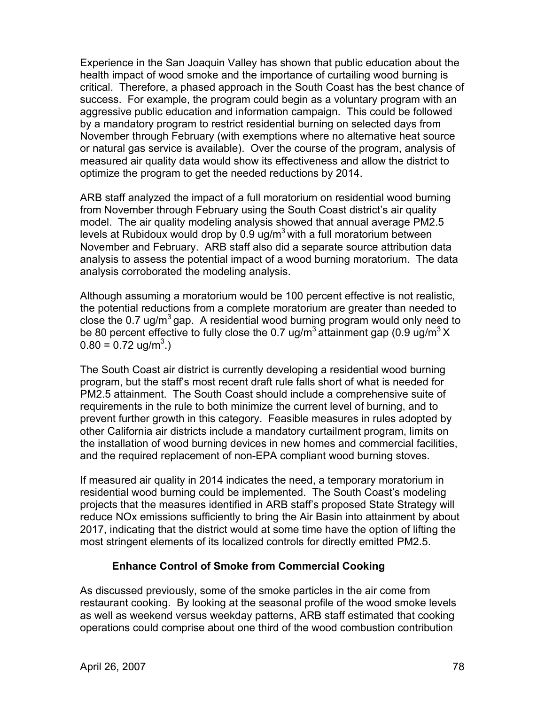Experience in the San Joaquin Valley has shown that public education about the health impact of wood smoke and the importance of curtailing wood burning is critical. Therefore, a phased approach in the South Coast has the best chance of success. For example, the program could begin as a voluntary program with an aggressive public education and information campaign. This could be followed by a mandatory program to restrict residential burning on selected days from November through February (with exemptions where no alternative heat source or natural gas service is available). Over the course of the program, analysis of measured air quality data would show its effectiveness and allow the district to optimize the program to get the needed reductions by 2014.

ARB staff analyzed the impact of a full moratorium on residential wood burning from November through February using the South Coast district's air quality model. The air quality modeling analysis showed that annual average PM2.5 levels at Rubidoux would drop by  $0.9$  ug/m<sup>3</sup> with a full moratorium between November and February. ARB staff also did a separate source attribution data analysis to assess the potential impact of a wood burning moratorium. The data analysis corroborated the modeling analysis.

Although assuming a moratorium would be 100 percent effective is not realistic, the potential reductions from a complete moratorium are greater than needed to close the 0.7 ug/m<sup>3</sup> gap. A residential wood burning program would only need to be 80 percent effective to fully close the 0.7 ug/m<sup>3</sup> attainment gap (0.9 ug/m<sup>3</sup> X  $0.80 = 0.72$  ug/m<sup>3</sup>.)

The South Coast air district is currently developing a residential wood burning program, but the staff's most recent draft rule falls short of what is needed for PM2.5 attainment. The South Coast should include a comprehensive suite of requirements in the rule to both minimize the current level of burning, and to prevent further growth in this category. Feasible measures in rules adopted by other California air districts include a mandatory curtailment program, limits on the installation of wood burning devices in new homes and commercial facilities, and the required replacement of non-EPA compliant wood burning stoves.

If measured air quality in 2014 indicates the need, a temporary moratorium in residential wood burning could be implemented. The South Coast's modeling projects that the measures identified in ARB staff's proposed State Strategy will reduce NOx emissions sufficiently to bring the Air Basin into attainment by about 2017, indicating that the district would at some time have the option of lifting the most stringent elements of its localized controls for directly emitted PM2.5.

#### **Enhance Control of Smoke from Commercial Cooking**

As discussed previously, some of the smoke particles in the air come from restaurant cooking. By looking at the seasonal profile of the wood smoke levels as well as weekend versus weekday patterns, ARB staff estimated that cooking operations could comprise about one third of the wood combustion contribution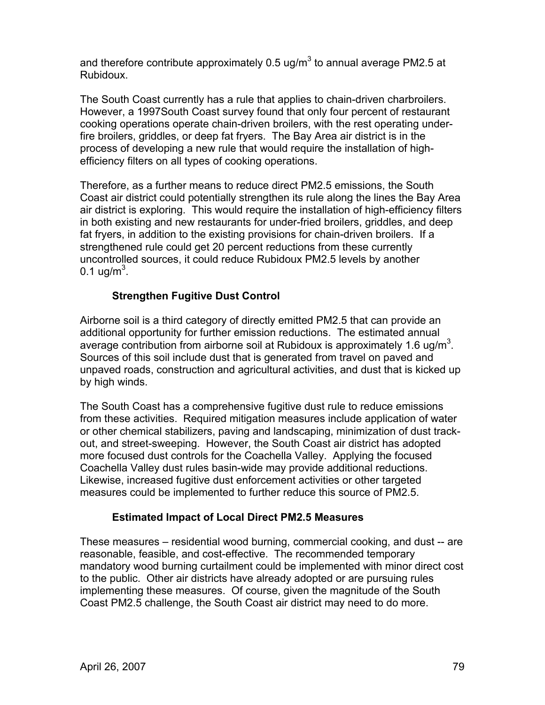and therefore contribute approximately 0.5 ug/m<sup>3</sup> to annual average PM2.5 at Rubidoux.

The South Coast currently has a rule that applies to chain-driven charbroilers. However, a 1997South Coast survey found that only four percent of restaurant cooking operations operate chain-driven broilers, with the rest operating underfire broilers, griddles, or deep fat fryers. The Bay Area air district is in the process of developing a new rule that would require the installation of highefficiency filters on all types of cooking operations.

Therefore, as a further means to reduce direct PM2.5 emissions, the South Coast air district could potentially strengthen its rule along the lines the Bay Area air district is exploring. This would require the installation of high-efficiency filters in both existing and new restaurants for under-fried broilers, griddles, and deep fat fryers, in addition to the existing provisions for chain-driven broilers. If a strengthened rule could get 20 percent reductions from these currently uncontrolled sources, it could reduce Rubidoux PM2.5 levels by another 0.1 ug/m $^3$ .

# **Strengthen Fugitive Dust Control**

Airborne soil is a third category of directly emitted PM2.5 that can provide an additional opportunity for further emission reductions. The estimated annual average contribution from airborne soil at Rubidoux is approximately 1.6 ug/m<sup>3</sup>. Sources of this soil include dust that is generated from travel on paved and unpaved roads, construction and agricultural activities, and dust that is kicked up by high winds.

The South Coast has a comprehensive fugitive dust rule to reduce emissions from these activities. Required mitigation measures include application of water or other chemical stabilizers, paving and landscaping, minimization of dust trackout, and street-sweeping. However, the South Coast air district has adopted more focused dust controls for the Coachella Valley. Applying the focused Coachella Valley dust rules basin-wide may provide additional reductions. Likewise, increased fugitive dust enforcement activities or other targeted measures could be implemented to further reduce this source of PM2.5.

# **Estimated Impact of Local Direct PM2.5 Measures**

These measures – residential wood burning, commercial cooking, and dust -- are reasonable, feasible, and cost-effective. The recommended temporary mandatory wood burning curtailment could be implemented with minor direct cost to the public. Other air districts have already adopted or are pursuing rules implementing these measures. Of course, given the magnitude of the South Coast PM2.5 challenge, the South Coast air district may need to do more.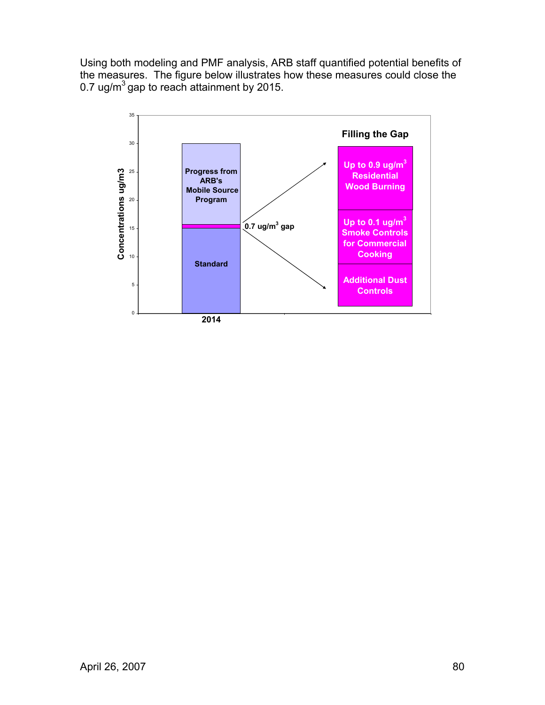Using both modeling and PMF analysis, ARB staff quantified potential benefits of the measures. The figure below illustrates how these measures could close the 0.7 ug/m<sup>3</sup> gap to reach attainment by 2015.

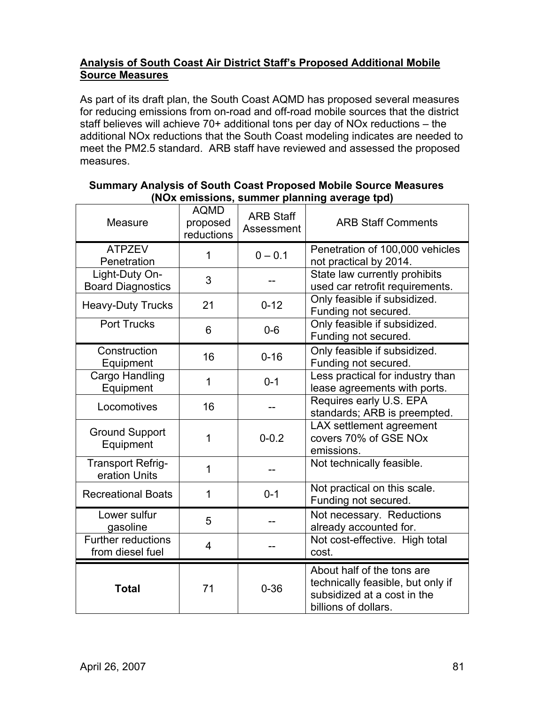# **Analysis of South Coast Air District Staff's Proposed Additional Mobile Source Measures**

As part of its draft plan, the South Coast AQMD has proposed several measures for reducing emissions from on-road and off-road mobile sources that the district staff believes will achieve 70+ additional tons per day of NOx reductions – the additional NOx reductions that the South Coast modeling indicates are needed to meet the PM2.5 standard. ARB staff have reviewed and assessed the proposed measures.

| Measure                                       | <b>AQMD</b><br>proposed<br>reductions | <b>ARB Staff</b><br>Assessment | <b>ARB Staff Comments</b>                                                                                              |  |
|-----------------------------------------------|---------------------------------------|--------------------------------|------------------------------------------------------------------------------------------------------------------------|--|
| <b>ATPZEV</b><br>Penetration                  | 1                                     | $0 - 0.1$                      | Penetration of 100,000 vehicles<br>not practical by 2014.                                                              |  |
| Light-Duty On-<br><b>Board Diagnostics</b>    | 3                                     |                                | State law currently prohibits<br>used car retrofit requirements.                                                       |  |
| <b>Heavy-Duty Trucks</b>                      | 21                                    | $0 - 12$                       | Only feasible if subsidized.<br>Funding not secured.                                                                   |  |
| <b>Port Trucks</b>                            | 6                                     | $0-6$                          | Only feasible if subsidized.<br>Funding not secured.                                                                   |  |
| Construction<br>Equipment                     | 16                                    | $0 - 16$                       | Only feasible if subsidized.<br>Funding not secured.                                                                   |  |
| Cargo Handling<br>Equipment                   | 1                                     | $0 - 1$                        | Less practical for industry than<br>lease agreements with ports.                                                       |  |
| Locomotives                                   | 16                                    |                                | Requires early U.S. EPA<br>standards; ARB is preempted.                                                                |  |
| <b>Ground Support</b><br>Equipment            | 1                                     | $0 - 0.2$                      | LAX settlement agreement<br>covers 70% of GSE NOx<br>emissions.                                                        |  |
| <b>Transport Refrig-</b><br>eration Units     | 1                                     |                                | Not technically feasible.                                                                                              |  |
| <b>Recreational Boats</b>                     | 1                                     | $0 - 1$                        | Not practical on this scale.<br>Funding not secured.                                                                   |  |
| Lower sulfur<br>gasoline                      | 5                                     |                                | Not necessary. Reductions<br>already accounted for.                                                                    |  |
| <b>Further reductions</b><br>from diesel fuel | $\overline{4}$                        |                                | Not cost-effective. High total<br>cost.                                                                                |  |
| <b>Total</b>                                  | 71                                    | $0 - 36$                       | About half of the tons are<br>technically feasible, but only if<br>subsidized at a cost in the<br>billions of dollars. |  |

### **Summary Analysis of South Coast Proposed Mobile Source Measures (NOx emissions, summer planning average tpd)**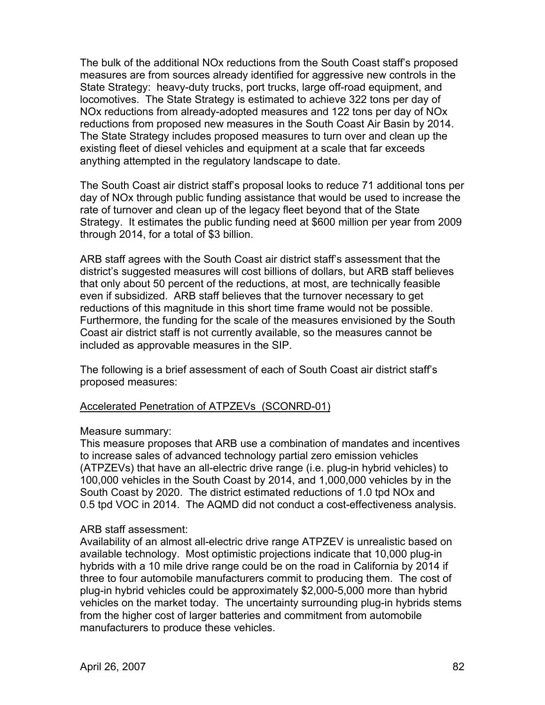The bulk of the additional NOx reductions from the South Coast staff's proposed measures are from sources already identified for aggressive new controls in the State Strategy: heavy-duty trucks, port trucks, large off-road equipment, and locomotives. The State Strategy is estimated to achieve 322 tons per day of NOx reductions from already-adopted measures and 122 tons per day of NOx reductions from proposed new measures in the South Coast Air Basin by 2014. The State Strategy includes proposed measures to turn over and clean up the existing fleet of diesel vehicles and equipment at a scale that far exceeds anything attempted in the regulatory landscape to date.

The South Coast air district staff's proposal looks to reduce 71 additional tons per day of NOx through public funding assistance that would be used to increase the rate of turnover and clean up of the legacy fleet beyond that of the State Strategy. It estimates the public funding need at \$600 million per year from 2009 through 2014, for a total of \$3 billion.

ARB staff agrees with the South Coast air district staff's assessment that the district's suggested measures will cost billions of dollars, but ARB staff believes that only about 50 percent of the reductions, at most, are technically feasible even if subsidized. ARB staff believes that the turnover necessary to get reductions of this magnitude in this short time frame would not be possible. Furthermore, the funding for the scale of the measures envisioned by the South Coast air district staff is not currently available, so the measures cannot be included as approvable measures in the SIP.

The following is a brief assessment of each of South Coast air district staff's proposed measures:

#### Accelerated Penetration of ATPZEVs (SCONRD-01)

#### Measure summary:

This measure proposes that ARB use a combination of mandates and incentives to increase sales of advanced technology partial zero emission vehicles (ATPZEVs) that have an all-electric drive range (i.e. plug-in hybrid vehicles) to 100,000 vehicles in the South Coast by 2014, and 1,000,000 vehicles by in the South Coast by 2020. The district estimated reductions of 1.0 tpd NOx and 0.5 tpd VOC in 2014. The AQMD did not conduct a cost-effectiveness analysis.

#### ARB staff assessment:

Availability of an almost all-electric drive range ATPZEV is unrealistic based on available technology. Most optimistic projections indicate that 10,000 plug-in hybrids with a 10 mile drive range could be on the road in California by 2014 if three to four automobile manufacturers commit to producing them. The cost of plug-in hybrid vehicles could be approximately \$2,000-5,000 more than hybrid vehicles on the market today. The uncertainty surrounding plug-in hybrids stems from the higher cost of larger batteries and commitment from automobile manufacturers to produce these vehicles.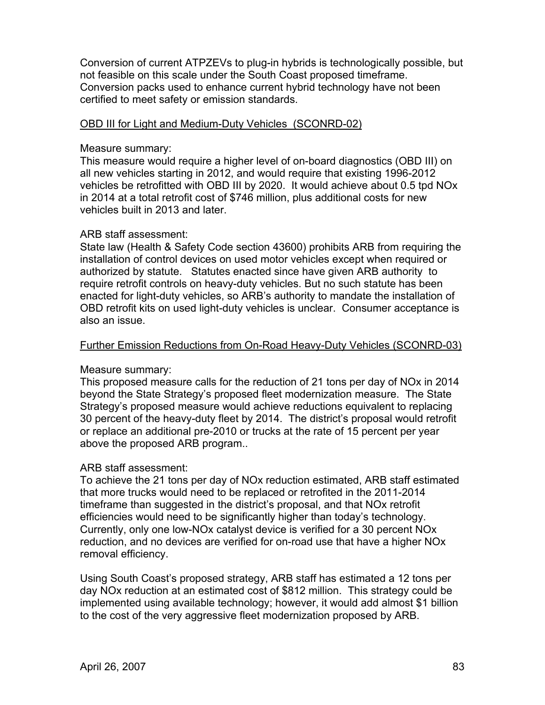Conversion of current ATPZEVs to plug-in hybrids is technologically possible, but not feasible on this scale under the South Coast proposed timeframe. Conversion packs used to enhance current hybrid technology have not been certified to meet safety or emission standards.

#### OBD III for Light and Medium-Duty Vehicles (SCONRD-02)

#### Measure summary:

This measure would require a higher level of on-board diagnostics (OBD III) on all new vehicles starting in 2012, and would require that existing 1996-2012 vehicles be retrofitted with OBD III by 2020. It would achieve about 0.5 tpd NOx in 2014 at a total retrofit cost of \$746 million, plus additional costs for new vehicles built in 2013 and later.

#### ARB staff assessment:

State law (Health & Safety Code section 43600) prohibits ARB from requiring the installation of control devices on used motor vehicles except when required or authorized by statute. Statutes enacted since have given ARB authority to require retrofit controls on heavy-duty vehicles. But no such statute has been enacted for light-duty vehicles, so ARB's authority to mandate the installation of OBD retrofit kits on used light-duty vehicles is unclear. Consumer acceptance is also an issue.

#### Further Emission Reductions from On-Road Heavy-Duty Vehicles (SCONRD-03)

#### Measure summary:

This proposed measure calls for the reduction of 21 tons per day of NOx in 2014 beyond the State Strategy's proposed fleet modernization measure. The State Strategy's proposed measure would achieve reductions equivalent to replacing 30 percent of the heavy-duty fleet by 2014. The district's proposal would retrofit or replace an additional pre-2010 or trucks at the rate of 15 percent per year above the proposed ARB program..

#### ARB staff assessment:

To achieve the 21 tons per day of NOx reduction estimated, ARB staff estimated that more trucks would need to be replaced or retrofited in the 2011-2014 timeframe than suggested in the district's proposal, and that NOx retrofit efficiencies would need to be significantly higher than today's technology. Currently, only one low-NOx catalyst device is verified for a 30 percent NOx reduction, and no devices are verified for on-road use that have a higher NOx removal efficiency.

Using South Coast's proposed strategy, ARB staff has estimated a 12 tons per day NOx reduction at an estimated cost of \$812 million. This strategy could be implemented using available technology; however, it would add almost \$1 billion to the cost of the very aggressive fleet modernization proposed by ARB.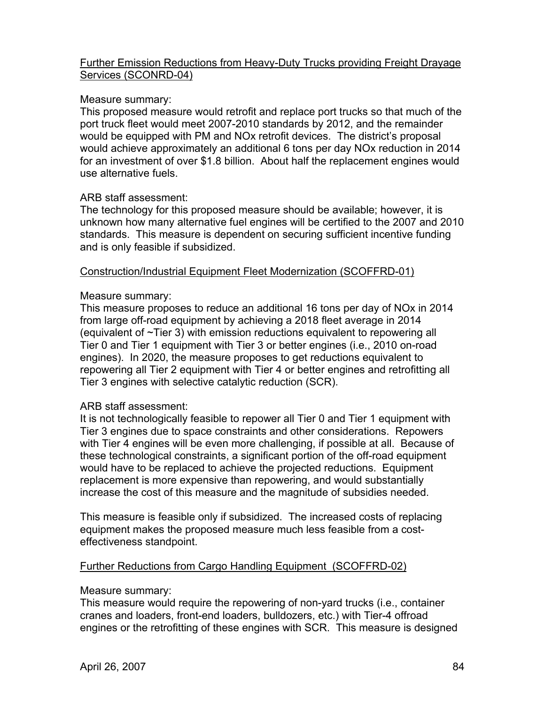### Further Emission Reductions from Heavy-Duty Trucks providing Freight Drayage Services (SCONRD-04)

### Measure summary:

This proposed measure would retrofit and replace port trucks so that much of the port truck fleet would meet 2007-2010 standards by 2012, and the remainder would be equipped with PM and NOx retrofit devices. The district's proposal would achieve approximately an additional 6 tons per day NOx reduction in 2014 for an investment of over \$1.8 billion. About half the replacement engines would use alternative fuels.

### ARB staff assessment:

The technology for this proposed measure should be available; however, it is unknown how many alternative fuel engines will be certified to the 2007 and 2010 standards. This measure is dependent on securing sufficient incentive funding and is only feasible if subsidized.

### Construction/Industrial Equipment Fleet Modernization (SCOFFRD-01)

#### Measure summary:

This measure proposes to reduce an additional 16 tons per day of NOx in 2014 from large off-road equipment by achieving a 2018 fleet average in 2014 (equivalent of ~Tier 3) with emission reductions equivalent to repowering all Tier 0 and Tier 1 equipment with Tier 3 or better engines (i.e., 2010 on-road engines). In 2020, the measure proposes to get reductions equivalent to repowering all Tier 2 equipment with Tier 4 or better engines and retrofitting all Tier 3 engines with selective catalytic reduction (SCR).

#### ARB staff assessment:

It is not technologically feasible to repower all Tier 0 and Tier 1 equipment with Tier 3 engines due to space constraints and other considerations. Repowers with Tier 4 engines will be even more challenging, if possible at all. Because of these technological constraints, a significant portion of the off-road equipment would have to be replaced to achieve the projected reductions. Equipment replacement is more expensive than repowering, and would substantially increase the cost of this measure and the magnitude of subsidies needed.

This measure is feasible only if subsidized. The increased costs of replacing equipment makes the proposed measure much less feasible from a costeffectiveness standpoint.

#### Further Reductions from Cargo Handling Equipment (SCOFFRD-02)

#### Measure summary:

This measure would require the repowering of non-yard trucks (i.e., container cranes and loaders, front-end loaders, bulldozers, etc.) with Tier-4 offroad engines or the retrofitting of these engines with SCR. This measure is designed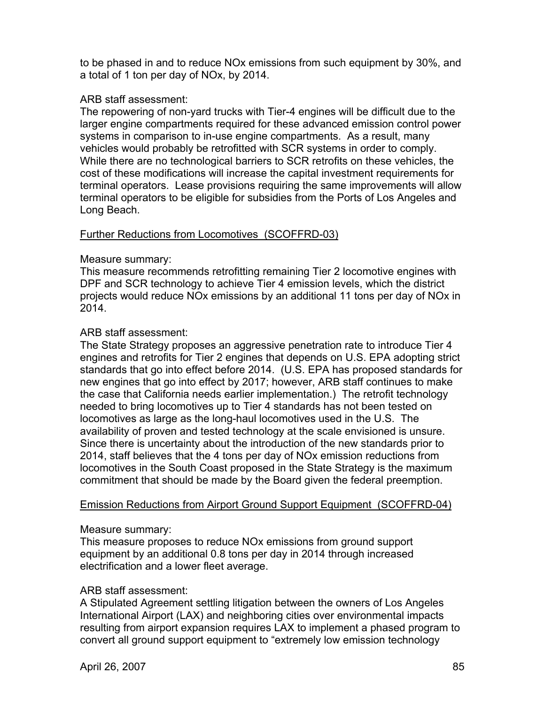to be phased in and to reduce NOx emissions from such equipment by 30%, and a total of 1 ton per day of NOx, by 2014.

### ARB staff assessment:

The repowering of non-yard trucks with Tier-4 engines will be difficult due to the larger engine compartments required for these advanced emission control power systems in comparison to in-use engine compartments. As a result, many vehicles would probably be retrofitted with SCR systems in order to comply. While there are no technological barriers to SCR retrofits on these vehicles, the cost of these modifications will increase the capital investment requirements for terminal operators. Lease provisions requiring the same improvements will allow terminal operators to be eligible for subsidies from the Ports of Los Angeles and Long Beach.

### Further Reductions from Locomotives (SCOFFRD-03)

### Measure summary:

This measure recommends retrofitting remaining Tier 2 locomotive engines with DPF and SCR technology to achieve Tier 4 emission levels, which the district projects would reduce NOx emissions by an additional 11 tons per day of NOx in 2014.

### ARB staff assessment:

The State Strategy proposes an aggressive penetration rate to introduce Tier 4 engines and retrofits for Tier 2 engines that depends on U.S. EPA adopting strict standards that go into effect before 2014. (U.S. EPA has proposed standards for new engines that go into effect by 2017; however, ARB staff continues to make the case that California needs earlier implementation.) The retrofit technology needed to bring locomotives up to Tier 4 standards has not been tested on locomotives as large as the long-haul locomotives used in the U.S. The availability of proven and tested technology at the scale envisioned is unsure. Since there is uncertainty about the introduction of the new standards prior to 2014, staff believes that the 4 tons per day of NOx emission reductions from locomotives in the South Coast proposed in the State Strategy is the maximum commitment that should be made by the Board given the federal preemption.

#### Emission Reductions from Airport Ground Support Equipment (SCOFFRD-04)

#### Measure summary:

This measure proposes to reduce NOx emissions from ground support equipment by an additional 0.8 tons per day in 2014 through increased electrification and a lower fleet average.

#### ARB staff assessment:

A Stipulated Agreement settling litigation between the owners of Los Angeles International Airport (LAX) and neighboring cities over environmental impacts resulting from airport expansion requires LAX to implement a phased program to convert all ground support equipment to "extremely low emission technology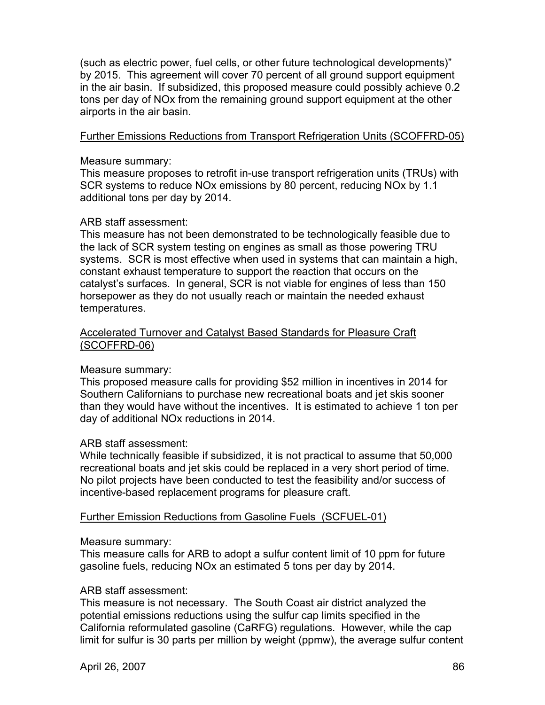(such as electric power, fuel cells, or other future technological developments)" by 2015. This agreement will cover 70 percent of all ground support equipment in the air basin. If subsidized, this proposed measure could possibly achieve 0.2 tons per day of NOx from the remaining ground support equipment at the other airports in the air basin.

### Further Emissions Reductions from Transport Refrigeration Units (SCOFFRD-05)

#### Measure summary:

This measure proposes to retrofit in-use transport refrigeration units (TRUs) with SCR systems to reduce NOx emissions by 80 percent, reducing NOx by 1.1 additional tons per day by 2014.

#### ARB staff assessment:

This measure has not been demonstrated to be technologically feasible due to the lack of SCR system testing on engines as small as those powering TRU systems. SCR is most effective when used in systems that can maintain a high, constant exhaust temperature to support the reaction that occurs on the catalyst's surfaces. In general, SCR is not viable for engines of less than 150 horsepower as they do not usually reach or maintain the needed exhaust temperatures.

#### Accelerated Turnover and Catalyst Based Standards for Pleasure Craft (SCOFFRD-06)

#### Measure summary:

This proposed measure calls for providing \$52 million in incentives in 2014 for Southern Californians to purchase new recreational boats and jet skis sooner than they would have without the incentives. It is estimated to achieve 1 ton per day of additional NOx reductions in 2014.

#### ARB staff assessment:

While technically feasible if subsidized, it is not practical to assume that 50,000 recreational boats and jet skis could be replaced in a very short period of time. No pilot projects have been conducted to test the feasibility and/or success of incentive-based replacement programs for pleasure craft.

#### Further Emission Reductions from Gasoline Fuels (SCFUEL-01)

#### Measure summary:

This measure calls for ARB to adopt a sulfur content limit of 10 ppm for future gasoline fuels, reducing NOx an estimated 5 tons per day by 2014.

#### ARB staff assessment:

This measure is not necessary. The South Coast air district analyzed the potential emissions reductions using the sulfur cap limits specified in the California reformulated gasoline (CaRFG) regulations. However, while the cap limit for sulfur is 30 parts per million by weight (ppmw), the average sulfur content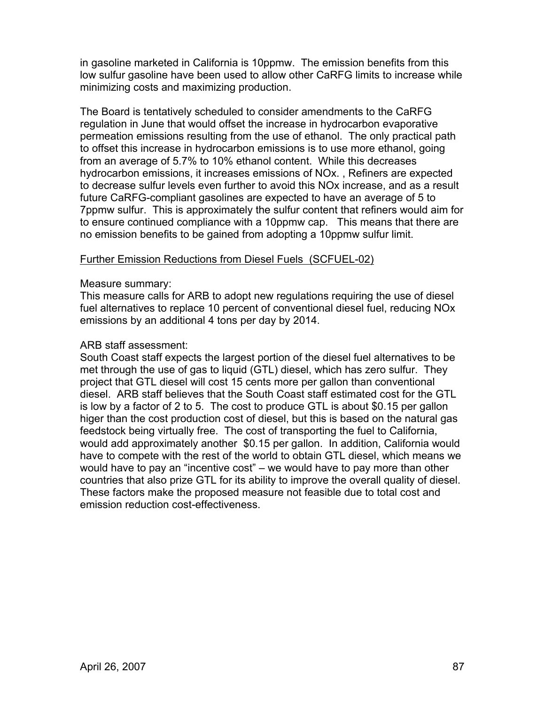in gasoline marketed in California is 10ppmw. The emission benefits from this low sulfur gasoline have been used to allow other CaRFG limits to increase while minimizing costs and maximizing production.

The Board is tentatively scheduled to consider amendments to the CaRFG regulation in June that would offset the increase in hydrocarbon evaporative permeation emissions resulting from the use of ethanol. The only practical path to offset this increase in hydrocarbon emissions is to use more ethanol, going from an average of 5.7% to 10% ethanol content. While this decreases hydrocarbon emissions, it increases emissions of NOx. , Refiners are expected to decrease sulfur levels even further to avoid this NOx increase, and as a result future CaRFG-compliant gasolines are expected to have an average of 5 to 7ppmw sulfur. This is approximately the sulfur content that refiners would aim for to ensure continued compliance with a 10ppmw cap. This means that there are no emission benefits to be gained from adopting a 10ppmw sulfur limit.

#### Further Emission Reductions from Diesel Fuels (SCFUEL-02)

#### Measure summary:

This measure calls for ARB to adopt new regulations requiring the use of diesel fuel alternatives to replace 10 percent of conventional diesel fuel, reducing NOx emissions by an additional 4 tons per day by 2014.

#### ARB staff assessment:

South Coast staff expects the largest portion of the diesel fuel alternatives to be met through the use of gas to liquid (GTL) diesel, which has zero sulfur. They project that GTL diesel will cost 15 cents more per gallon than conventional diesel. ARB staff believes that the South Coast staff estimated cost for the GTL is low by a factor of 2 to 5. The cost to produce GTL is about \$0.15 per gallon higer than the cost production cost of diesel, but this is based on the natural gas feedstock being virtually free. The cost of transporting the fuel to California, would add approximately another \$0.15 per gallon. In addition, California would have to compete with the rest of the world to obtain GTL diesel, which means we would have to pay an "incentive cost" – we would have to pay more than other countries that also prize GTL for its ability to improve the overall quality of diesel. These factors make the proposed measure not feasible due to total cost and emission reduction cost-effectiveness.